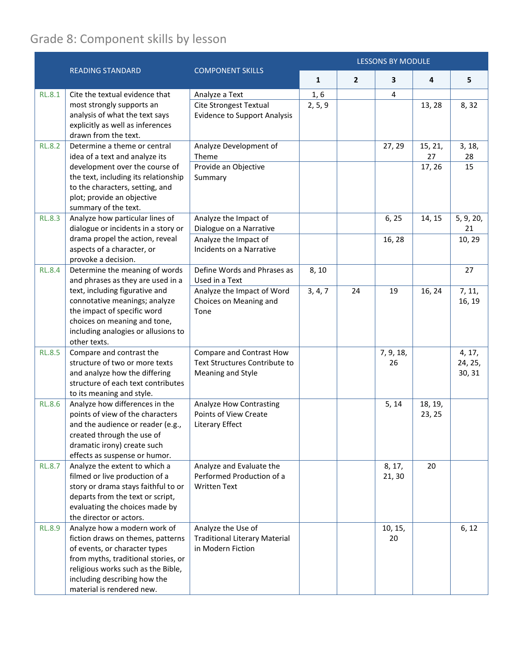## Grade 8: Component skills by lesson

|               |                                                                                                                                                                                                                                                              |                                                                                                               | <b>LESSONS BY MODULE</b> |                |                  |                         |                             |  |
|---------------|--------------------------------------------------------------------------------------------------------------------------------------------------------------------------------------------------------------------------------------------------------------|---------------------------------------------------------------------------------------------------------------|--------------------------|----------------|------------------|-------------------------|-----------------------------|--|
|               | <b>READING STANDARD</b>                                                                                                                                                                                                                                      | <b>COMPONENT SKILLS</b>                                                                                       | $\mathbf{1}$             | $\overline{2}$ | 3                | 4                       | 5                           |  |
| <b>RL.8.1</b> | Cite the textual evidence that<br>most strongly supports an<br>analysis of what the text says<br>explicitly as well as inferences<br>drawn from the text.                                                                                                    | Analyze a Text<br><b>Cite Strongest Textual</b><br><b>Evidence to Support Analysis</b>                        | 1, 6<br>2, 5, 9          |                | 4                | 13, 28                  | 8,32                        |  |
| <b>RL.8.2</b> | Determine a theme or central<br>idea of a text and analyze its<br>development over the course of<br>the text, including its relationship<br>to the characters, setting, and<br>plot; provide an objective<br>summary of the text.                            | Analyze Development of<br>Theme<br>Provide an Objective<br>Summary                                            |                          |                | 27, 29           | 15, 21,<br>27<br>17, 26 | 3, 18,<br>28<br>15          |  |
| <b>RL.8.3</b> | Analyze how particular lines of<br>dialogue or incidents in a story or<br>drama propel the action, reveal<br>aspects of a character, or<br>provoke a decision.                                                                                               | Analyze the Impact of<br>Dialogue on a Narrative<br>Analyze the Impact of<br>Incidents on a Narrative         |                          |                | 6, 25<br>16, 28  | 14, 15                  | 5, 9, 20,<br>21<br>10, 29   |  |
| <b>RL.8.4</b> | Determine the meaning of words<br>and phrases as they are used in a<br>text, including figurative and<br>connotative meanings; analyze<br>the impact of specific word<br>choices on meaning and tone,<br>including analogies or allusions to<br>other texts. | Define Words and Phrases as<br>Used in a Text<br>Analyze the Impact of Word<br>Choices on Meaning and<br>Tone | 8, 10<br>3, 4, 7         | 24             | 19               | 16, 24                  | 27<br>7, 11,<br>16, 19      |  |
| <b>RL.8.5</b> | Compare and contrast the<br>structure of two or more texts<br>and analyze how the differing<br>structure of each text contributes<br>to its meaning and style.                                                                                               | Compare and Contrast How<br>Text Structures Contribute to<br>Meaning and Style                                |                          |                | 7, 9, 18,<br>26  |                         | 4, 17,<br>24, 25,<br>30, 31 |  |
| <b>RL.8.6</b> | Analyze how differences in the<br>points of view of the characters<br>and the audience or reader (e.g.,<br>created through the use of<br>dramatic irony) create such<br>effects as suspense or humor.                                                        | <b>Analyze How Contrasting</b><br>Points of View Create<br>Literary Effect                                    |                          |                | 5, 14            | 18, 19,<br>23, 25       |                             |  |
| <b>RL.8.7</b> | Analyze the extent to which a<br>filmed or live production of a<br>story or drama stays faithful to or<br>departs from the text or script,<br>evaluating the choices made by<br>the director or actors.                                                      | Analyze and Evaluate the<br>Performed Production of a<br><b>Written Text</b>                                  |                          |                | 8, 17,<br>21, 30 | 20                      |                             |  |
| <b>RL.8.9</b> | Analyze how a modern work of<br>fiction draws on themes, patterns<br>of events, or character types<br>from myths, traditional stories, or<br>religious works such as the Bible,<br>including describing how the<br>material is rendered new.                 | Analyze the Use of<br><b>Traditional Literary Material</b><br>in Modern Fiction                               |                          |                | 10, 15,<br>20    |                         | 6, 12                       |  |